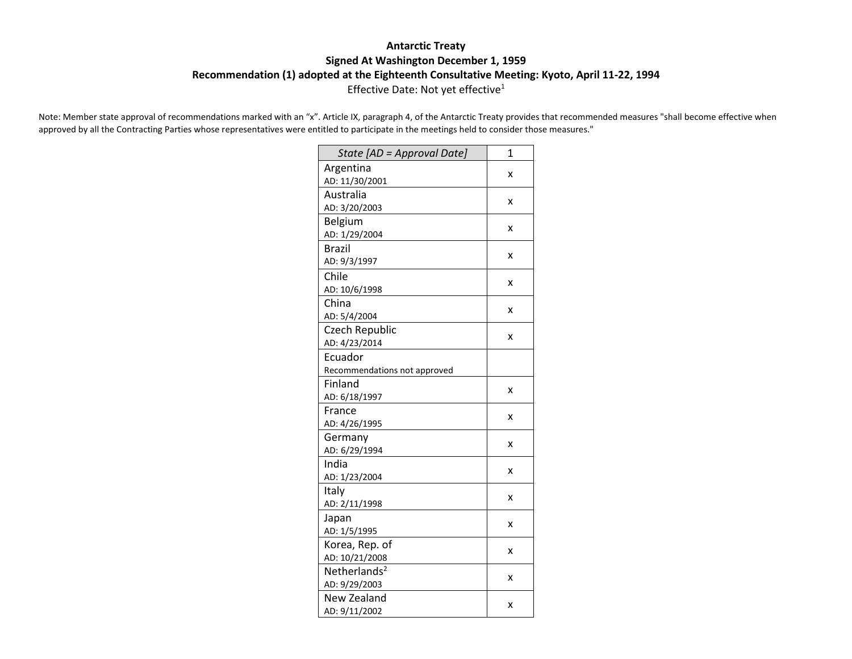## **Antarctic Treaty Signed At Washington December 1, 1959 Recommendation (1) adopted at the Eighteenth Consultative Meeting: Kyoto, April 11-22, 1994** Effective Date: Not yet effective<sup>1</sup>

Note: Member state approval of recommendations marked with an "x". Article IX, paragraph 4, of the Antarctic Treaty provides that recommended measures "shall become effective when approved by all the Contracting Parties whose representatives were entitled to participate in the meetings held to consider those measures."

| State [AD = Approval Date]   | 1 |
|------------------------------|---|
| Argentina                    | x |
| AD: 11/30/2001               |   |
| Australia                    | x |
| AD: 3/20/2003                |   |
| Belgium                      | x |
| AD: 1/29/2004                |   |
| <b>Brazil</b>                | x |
| AD: 9/3/1997                 |   |
| Chile                        | x |
| AD: 10/6/1998                |   |
| China                        | x |
| AD: 5/4/2004                 |   |
| Czech Republic               | X |
| AD: 4/23/2014                |   |
| Ecuador                      |   |
| Recommendations not approved |   |
| Finland                      | x |
| AD: 6/18/1997                |   |
| France                       | x |
| AD: 4/26/1995                |   |
| Germany                      | x |
| AD: 6/29/1994                |   |
| India                        | x |
| AD: 1/23/2004                |   |
| Italy                        | x |
| AD: 2/11/1998                |   |
| Japan                        | X |
| AD: 1/5/1995                 |   |
| Korea, Rep. of               | x |
| AD: 10/21/2008               |   |
| Netherlands <sup>2</sup>     | x |
| AD: 9/29/2003                |   |
| <b>New Zealand</b>           | x |
| AD: 9/11/2002                |   |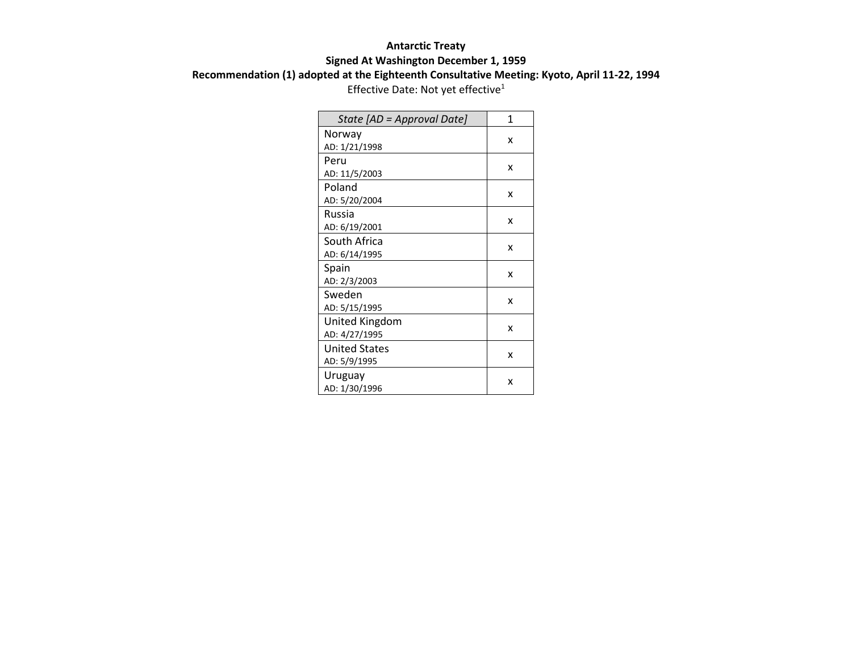## **Antarctic Treaty Signed At Washington December 1, 1959 Recommendation (1) adopted at the Eighteenth Consultative Meeting: Kyoto, April 11-22, 1994**

Effective Date: Not yet effective<sup>1</sup>

| State [AD = Approval Date] | 1 |
|----------------------------|---|
| Norway                     | x |
| AD: 1/21/1998              |   |
| Peru                       | x |
| AD: 11/5/2003              |   |
| Poland                     | x |
| AD: 5/20/2004              |   |
| Russia                     | x |
| AD: 6/19/2001              |   |
| South Africa               | x |
| AD: 6/14/1995              |   |
| Spain                      | x |
| AD: 2/3/2003               |   |
| Sweden                     | x |
| AD: 5/15/1995              |   |
| United Kingdom             | x |
| AD: 4/27/1995              |   |
| <b>United States</b>       | x |
| AD: 5/9/1995               |   |
| Uruguay                    | x |
| AD: 1/30/1996              |   |